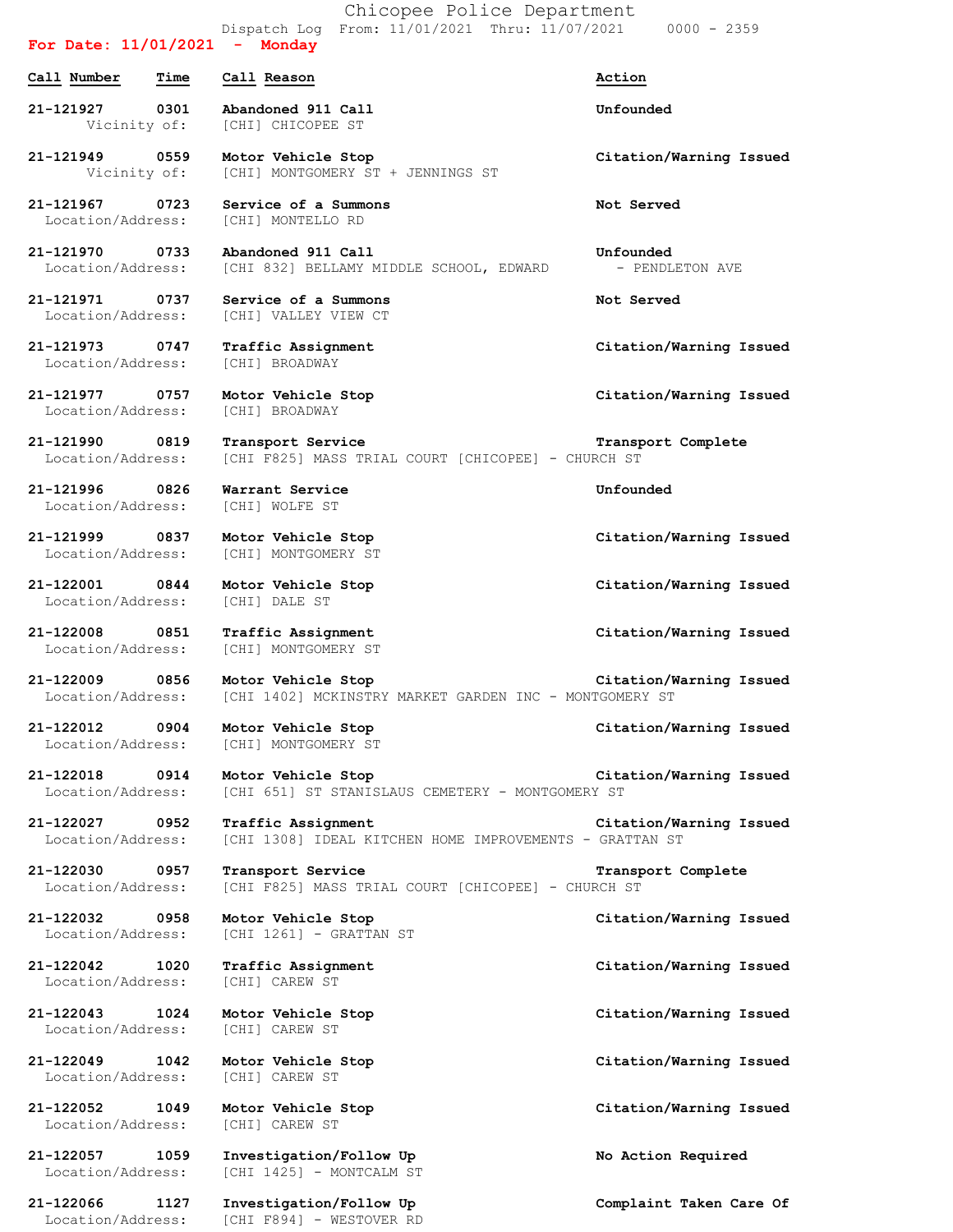Chicopee Police Department Dispatch Log From: 11/01/2021 Thru: 11/07/2021 0000 - 2359

## **For Date: 11/01/2021 - Monday Call Number Time Call Reason Action 21-121927 0301 Abandoned 911 Call Unfounded** Vicinity of: [CHI] CHICOPEE ST **21-121949 0559 Motor Vehicle Stop Citation/Warning Issued** Vicinity of: [CHI] MONTGOMERY ST + JENNINGS ST **21-121967 0723 Service of a Summons Not Served** Location/Address: [CHI] MONTELLO RD **21-121970 0733 Abandoned 911 Call Unfounded** Location/Address: [CHI 832] BELLAMY MIDDLE SCHOOL, EDWARD - PENDLETON AVE **21-121971 0737 Service of a Summons Not Served** Location/Address: [CHI] VALLEY VIEW CT **21-121973 0747 Traffic Assignment Citation/Warning Issued** Location/Address: [CHI] BROADWAY **21-121977 0757 Motor Vehicle Stop Citation/Warning Issued** Location/Address: [CHI] BROADWAY **21-121990 0819 Transport Service Transport Complete** Location/Address: [CHI F825] MASS TRIAL COURT [CHICOPEE] - CHURCH ST **21-121996 0826 Warrant Service Unfounded** Location/Address: [CHI] WOLFE ST **21-121999 0837 Motor Vehicle Stop Citation/Warning Issued** Location/Address: [CHI] MONTGOMERY ST **21-122001 0844 Motor Vehicle Stop Citation/Warning Issued** Location/Address: [CHI] DALE ST **21-122008 0851 Traffic Assignment Citation/Warning Issued** Location/Address: [CHI] MONTGOMERY ST **21-122009 0856 Motor Vehicle Stop Citation/Warning Issued** Location/Address: [CHI 1402] MCKINSTRY MARKET GARDEN INC - MONTGOMERY ST **21-122012 0904 Motor Vehicle Stop Citation/Warning Issued** Location/Address: [CHI] MONTGOMERY ST **21-122018 0914 Motor Vehicle Stop Citation/Warning Issued** Location/Address: [CHI 651] ST STANISLAUS CEMETERY - MONTGOMERY ST **21-122027 0952 Traffic Assignment Citation/Warning Issued** Location/Address: [CHI 1308] IDEAL KITCHEN HOME IMPROVEMENTS - GRATTAN ST **21-122030 0957 Transport Service Transport Complete** Location/Address: [CHI F825] MASS TRIAL COURT [CHICOPEE] - CHURCH ST **21-122032 0958 Motor Vehicle Stop Citation/Warning Issued** Location/Address: [CHI 1261] - GRATTAN ST **21-122042 1020 Traffic Assignment Citation/Warning Issued** Location/Address: [CHI] CAREW ST **21-122043 1024 Motor Vehicle Stop Citation/Warning Issued** Location/Address: [CHI] CAREW ST **21-122049 1042 Motor Vehicle Stop Citation/Warning Issued** Location/Address: [CHI] CAREW ST **21-122052 1049 Motor Vehicle Stop Citation/Warning Issued** Location/Address: [CHI] CAREW ST **21-122057 1059 Investigation/Follow Up No Action Required** Location/Address: [CHI 1425] - MONTCALM ST **21-122066 1127 Investigation/Follow Up Complaint Taken Care Of**

Location/Address: [CHI F894] - WESTOVER RD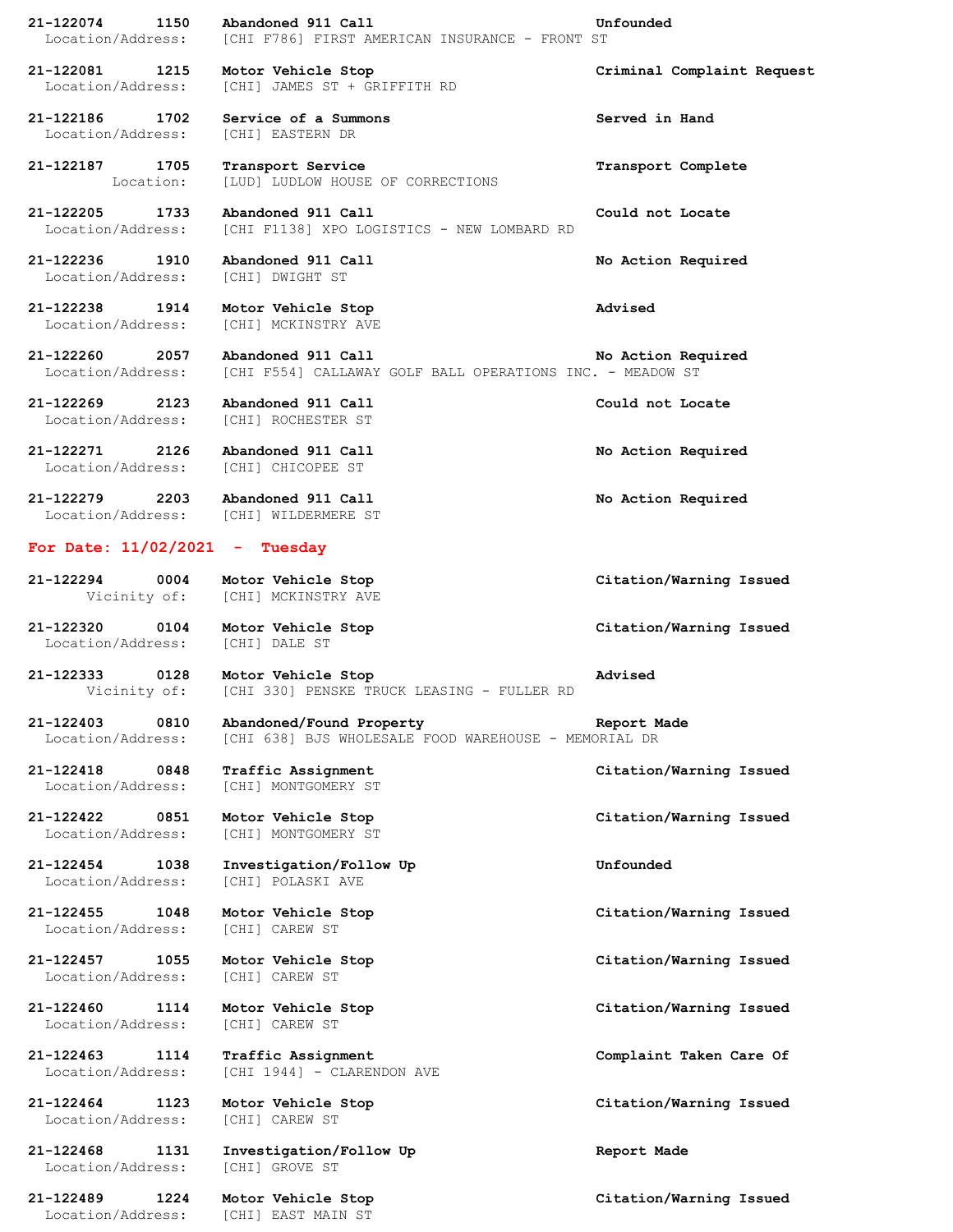| 21-122074<br>1150                      | Abandoned 911 Call                                                               | Unfounded                  |
|----------------------------------------|----------------------------------------------------------------------------------|----------------------------|
| Location/Address:                      | [CHI F786] FIRST AMERICAN INSURANCE - FRONT ST                                   |                            |
| 21-122081<br>1215<br>Location/Address: | Motor Vehicle Stop<br>[CHI] JAMES ST + GRIFFITH RD                               | Criminal Complaint Request |
| 21-122186<br>1702<br>Location/Address: | Service of a Summons<br>[CHI] EASTERN DR                                         | Served in Hand             |
| 1705<br>21-122187<br>Location:         | Transport Service<br>[LUD] LUDLOW HOUSE OF CORRECTIONS                           | Transport Complete         |
| 21-122205<br>1733<br>Location/Address: | Abandoned 911 Call<br>[CHI F1138] XPO LOGISTICS - NEW LOMBARD RD                 | Could not Locate           |
| 21-122236<br>1910<br>Location/Address: | Abandoned 911 Call<br>[CHI] DWIGHT ST                                            | No Action Required         |
| 21-122238<br>1914<br>Location/Address: | Motor Vehicle Stop<br>[CHI] MCKINSTRY AVE                                        | Advised                    |
| 21-122260<br>2057<br>Location/Address: | Abandoned 911 Call<br>[CHI F554] CALLAWAY GOLF BALL OPERATIONS INC. - MEADOW ST  | No Action Required         |
| 21-122269<br>2123<br>Location/Address: | Abandoned 911 Call<br>[CHI] ROCHESTER ST                                         | Could not Locate           |
| 21-122271<br>2126<br>Location/Address: | Abandoned 911 Call<br>[CHI] CHICOPEE ST                                          | No Action Required         |
| 21-122279<br>2203<br>Location/Address: | Abandoned 911 Call<br>[CHI] WILDERMERE ST                                        | No Action Required         |
| For Date: 11/02/2021                   | - Tuesday                                                                        |                            |
| 21-122294<br>0004<br>Vicinity of:      | Motor Vehicle Stop<br>[CHI] MCKINSTRY AVE                                        | Citation/Warning Issued    |
| 21-122320<br>0104<br>Location/Address: | Motor Vehicle Stop<br>[CHI] DALE ST                                              | Citation/Warning Issued    |
| 21-122333<br>0128<br>Vicinity of:      | Motor Vehicle Stop<br>[CHI 330] PENSKE TRUCK LEASING - FULLER RD                 | Advised                    |
| 21-122403<br>0810<br>Location/Address: | Abandoned/Found Property<br>[CHI 638] BJS WHOLESALE FOOD WAREHOUSE - MEMORIAL DR | Report Made                |
| 21-122418<br>0848<br>Location/Address: | Traffic Assignment<br>[CHI] MONTGOMERY ST                                        | Citation/Warning Issued    |
| 21-122422<br>0851<br>Location/Address: | Motor Vehicle Stop<br>[CHI] MONTGOMERY ST                                        | Citation/Warning Issued    |
| 21-122454<br>1038<br>Location/Address: | Investigation/Follow Up<br>[CHI] POLASKI AVE                                     | Unfounded                  |
| 21-122455<br>1048<br>Location/Address: | Motor Vehicle Stop<br>[CHI] CAREW ST                                             | Citation/Warning Issued    |
| 21-122457<br>1055<br>Location/Address: | Motor Vehicle Stop<br>[CHI] CAREW ST                                             | Citation/Warning Issued    |
| 21-122460<br>1114<br>Location/Address: | Motor Vehicle Stop<br>[CHI] CAREW ST                                             | Citation/Warning Issued    |
| 21-122463<br>1114<br>Location/Address: | Traffic Assignment<br>[CHI 1944] - CLARENDON AVE                                 | Complaint Taken Care Of    |
| 21-122464<br>1123<br>Location/Address: | Motor Vehicle Stop<br>[CHI] CAREW ST                                             | Citation/Warning Issued    |
| 21-122468<br>1131<br>Location/Address: | Investigation/Follow Up<br>[CHI] GROVE ST                                        | Report Made                |
| 21-122489<br>1224<br>Location/Address: | Motor Vehicle Stop<br>[CHI] EAST MAIN ST                                         | Citation/Warning Issued    |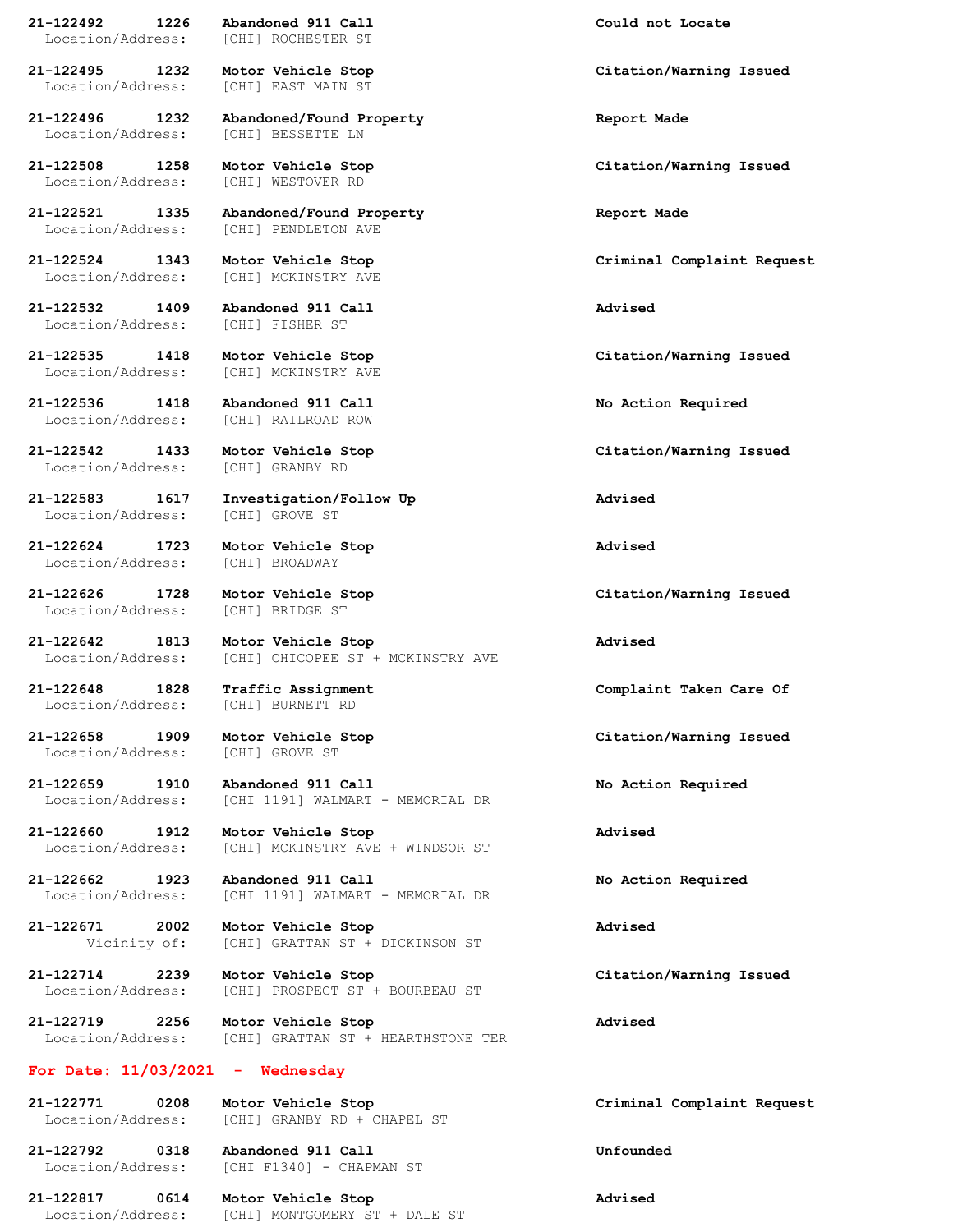**21-122492 1226 Abandoned 911 Call Could not Locate** Location/Address: [CHI] ROCHESTER ST

Location/Address: [CHI] EAST MAIN ST

**21-122496 1232 Abandoned/Found Property Report Made** Location/Address: [CHI] BESSETTE LN

Location/Address: [CHI] WESTOVER RD

Location/Address: [CHI] PENDLETON AVE

**21-122532 1409 Abandoned 911 Call Advised**

**21-122536 1418 Abandoned 911 Call No Action Required**

Location/Address: [CHI] GRANBY RD

Location/Address: [CHI] GROVE ST

**21-122624 1723 Motor Vehicle Stop Advised** Location/Address: [CHI] BROADWAY

Location/Address: [CHI] BRIDGE ST

Location/Address: [CHI] GROVE ST

**21-122521 1335 Abandoned/Found Property Report Made**

Location/Address: [CHI] MCKINSTRY AVE

Location/Address: [CHI] FISHER ST

Location/Address: [CHI] MCKINSTRY AVE

Location/Address: [CHI] RAILROAD ROW

**21-122583 1617 Investigation/Follow Up Advised**

**21-122642 1813 Motor Vehicle Stop Advised** Location/Address: [CHI] CHICOPEE ST + MCKINSTRY AVE

Location/Address: [CHI] BURNETT RD

**21-122659 1910 Abandoned 911 Call No Action Required** Location/Address: [CHI 1191] WALMART - MEMORIAL DR

**21-122660 1912 Motor Vehicle Stop Advised** Location/Address: [CHI] MCKINSTRY AVE + WINDSOR ST

**21-122662 1923 Abandoned 911 Call No Action Required** Location/Address: [CHI 1191] WALMART - MEMORIAL DR

**21-122671 2002 Motor Vehicle Stop Advised** Vicinity of: [CHI] GRATTAN ST + DICKINSON ST

**21-122714 2239 Motor Vehicle Stop Citation/Warning Issued** Location/Address: [CHI] PROSPECT ST + BOURBEAU ST

**21-122719 2256 Motor Vehicle Stop Advised** Location/Address: [CHI] GRATTAN ST + HEARTHSTONE TER

## **For Date: 11/03/2021 - Wednesday**

**21-122771 0208 Motor Vehicle Stop Criminal Complaint Request** Location/Address: [CHI] GRANBY RD + CHAPEL ST

**21-122792 0318 Abandoned 911 Call Unfounded** Location/Address: [CHI F1340] - CHAPMAN ST

**21-122817 0614 Motor Vehicle Stop Advised** Location/Address: [CHI] MONTGOMERY ST + DALE ST

**21-122495 1232 Motor Vehicle Stop Citation/Warning Issued**

**21-122508 1258 Motor Vehicle Stop Citation/Warning Issued**

**21-122524 1343 Motor Vehicle Stop Criminal Complaint Request**

**21-122535 1418 Motor Vehicle Stop Citation/Warning Issued**

**21-122542 1433 Motor Vehicle Stop Citation/Warning Issued**

**21-122626 1728 Motor Vehicle Stop Citation/Warning Issued**

**21-122648 1828 Traffic Assignment Complaint Taken Care Of**

**21-122658 1909 Motor Vehicle Stop Citation/Warning Issued**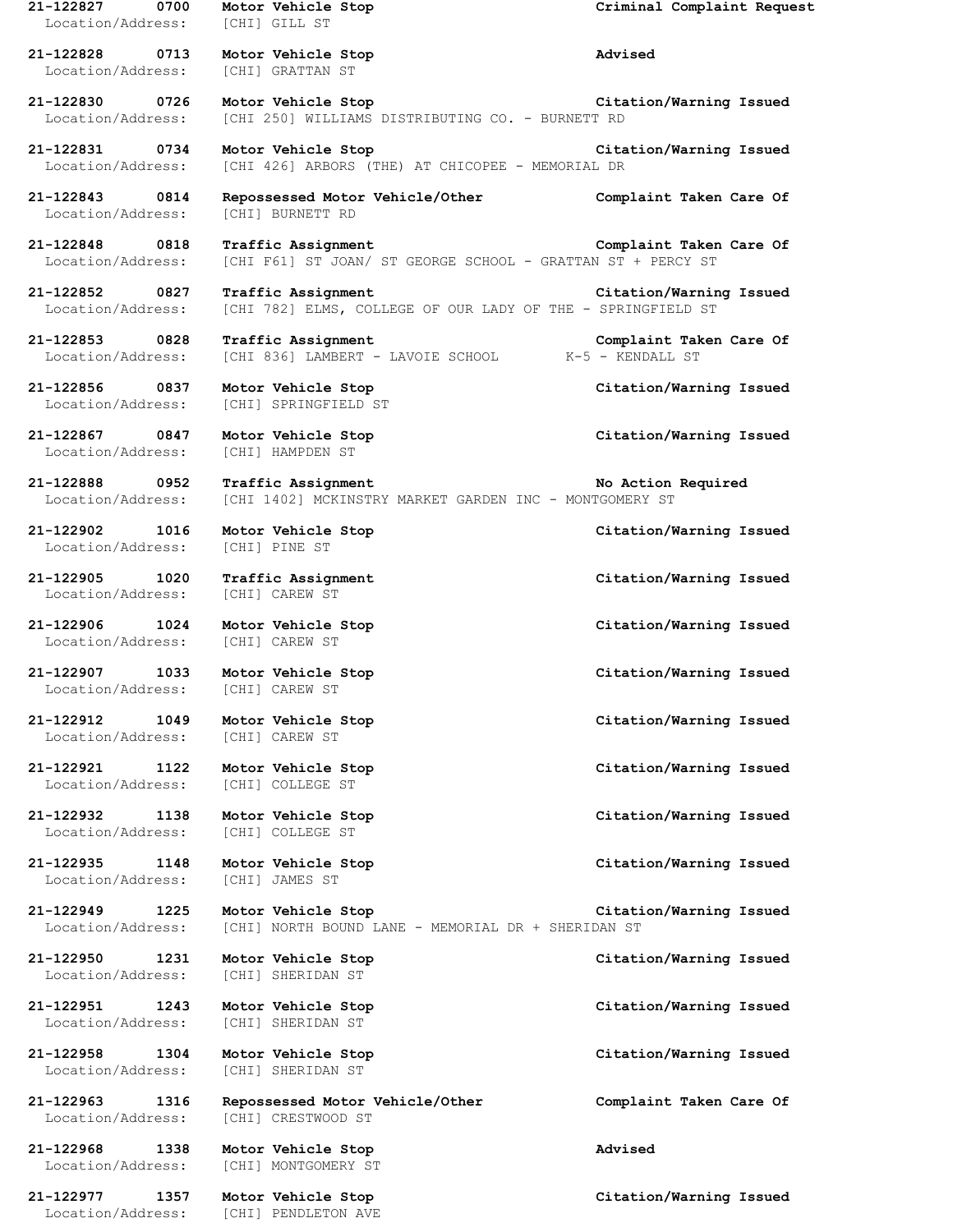| 21-122827<br>0700<br>Location/Address: | Motor Vehicle Stop<br>[CHI] GILL ST                                               | Criminal Complaint Request |
|----------------------------------------|-----------------------------------------------------------------------------------|----------------------------|
| 21-122828 0713<br>Location/Address:    | Motor Vehicle Stop<br>[CHI] GRATTAN ST                                            | Advised                    |
| 21-122830 0726<br>Location/Address:    | Motor Vehicle Stop<br>[CHI 250] WILLIAMS DISTRIBUTING CO. - BURNETT RD            | Citation/Warning Issued    |
| 21-122831 0734<br>Location/Address:    | Motor Vehicle Stop<br>[CHI 426] ARBORS (THE) AT CHICOPEE - MEMORIAL DR            | Citation/Warning Issued    |
| 21-122843 0814<br>Location/Address:    | Repossessed Motor Vehicle/Other<br>[CHI] BURNETT RD                               | Complaint Taken Care Of    |
| 21-122848 0818<br>Location/Address:    | Traffic Assignment<br>[CHI F61] ST JOAN/ ST GEORGE SCHOOL - GRATTAN ST + PERCY ST | Complaint Taken Care Of    |
| 21-122852 0827<br>Location/Address:    | Traffic Assignment<br>[CHI 782] ELMS, COLLEGE OF OUR LADY OF THE - SPRINGFIELD ST | Citation/Warning Issued    |
| 21-122853 0828<br>Location/Address:    | Traffic Assignment<br>[CHI 836] LAMBERT - LAVOIE SCHOOL K-5 - KENDALL ST          | Complaint Taken Care Of    |
| 21-122856 0837<br>Location/Address:    | Motor Vehicle Stop<br>[CHI] SPRINGFIELD ST                                        | Citation/Warning Issued    |
| 21-122867 0847<br>Location/Address:    | Motor Vehicle Stop<br>[CHI] HAMPDEN ST                                            | Citation/Warning Issued    |
| 21-122888 0952<br>Location/Address:    | Traffic Assignment<br>[CHI 1402] MCKINSTRY MARKET GARDEN INC - MONTGOMERY ST      | No Action Required         |
| 21-122902 1016<br>Location/Address:    | Motor Vehicle Stop<br>[CHI] PINE ST                                               | Citation/Warning Issued    |
| 21-122905<br>1020<br>Location/Address: | Traffic Assignment<br>[CHI] CAREW ST                                              | Citation/Warning Issued    |
| 21-122906 1024<br>Location/Address:    | Motor Vehicle Stop<br>[CHI] CAREW ST                                              | Citation/Warning Issued    |
| 21-122907 1033<br>Location/Address:    | Motor Vehicle Stop<br>[CHI] CAREW ST                                              | Citation/Warning Issued    |
| 21-122912<br>1049<br>Location/Address: | Motor Vehicle Stop<br>[CHI] CAREW ST                                              | Citation/Warning Issued    |
| 21-122921<br>1122<br>Location/Address: | Motor Vehicle Stop<br>[CHI] COLLEGE ST                                            | Citation/Warning Issued    |
| 21-122932<br>1138<br>Location/Address: | Motor Vehicle Stop<br><b>[CHI] COLLEGE ST</b>                                     | Citation/Warning Issued    |
| 21-122935<br>1148<br>Location/Address: | Motor Vehicle Stop<br>[CHI] JAMES ST                                              | Citation/Warning Issued    |
| 21-122949<br>1225<br>Location/Address: | Motor Vehicle Stop<br>[CHI] NORTH BOUND LANE - MEMORIAL DR + SHERIDAN ST          | Citation/Warning Issued    |
| 21-122950<br>1231<br>Location/Address: | Motor Vehicle Stop<br>[CHI] SHERIDAN ST                                           | Citation/Warning Issued    |
| 21-122951<br>1243<br>Location/Address: | Motor Vehicle Stop<br>[CHI] SHERIDAN ST                                           | Citation/Warning Issued    |
| 21-122958<br>1304<br>Location/Address: | Motor Vehicle Stop<br>[CHI] SHERIDAN ST                                           | Citation/Warning Issued    |
| 21-122963<br>1316<br>Location/Address: | Repossessed Motor Vehicle/Other<br>[CHI] CRESTWOOD ST                             | Complaint Taken Care Of    |
| 21-122968<br>1338<br>Location/Address: | Motor Vehicle Stop<br>[CHI] MONTGOMERY ST                                         | Advised                    |
| 21-122977<br>1357<br>Location/Address: | Motor Vehicle Stop<br>[CHI] PENDLETON AVE                                         | Citation/Warning Issued    |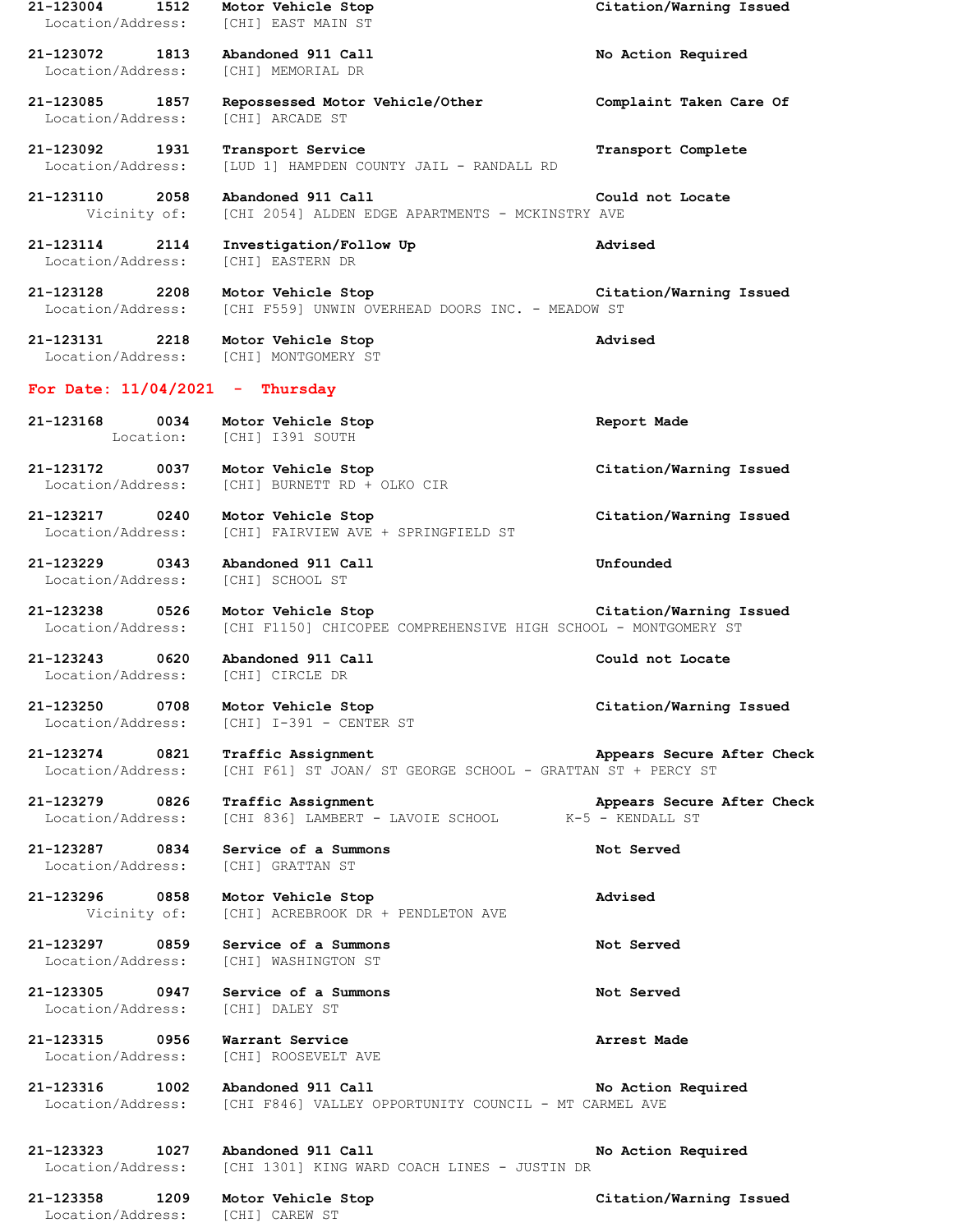**21-123004 1512 Motor Vehicle Stop Citation/Warning Issued** Location/Address: [CHI] EAST MAIN ST **21-123072 1813 Abandoned 911 Call No Action Required** Location/Address: [CHI] MEMORIAL DR **21-123085 1857 Repossessed Motor Vehicle/Other Complaint Taken Care Of** Location/Address: [CHI] ARCADE ST **21-123092 1931 Transport Service Transport Complete** Location/Address: [LUD 1] HAMPDEN COUNTY JAIL - RANDALL RD **21-123110 2058 Abandoned 911 Call Could not Locate** Vicinity of: [CHI 2054] ALDEN EDGE APARTMENTS - MCKINSTRY AVE **21-123114 2114 Investigation/Follow Up Advised** Location/Address: [CHI] EASTERN DR **21-123128 2208 Motor Vehicle Stop Citation/Warning Issued** Location/Address: [CHI F559] UNWIN OVERHEAD DOORS INC. - MEADOW ST **21-123131 2218 Motor Vehicle Stop Advised** Location/Address: [CHI] MONTGOMERY ST **For Date: 11/04/2021 - Thursday 21-123168 0034 Motor Vehicle Stop Report Made** Location: [CHI] I391 SOUTH **21-123172 0037 Motor Vehicle Stop Citation/Warning Issued** Location/Address: [CHI] BURNETT RD + OLKO CIR **21-123217 0240 Motor Vehicle Stop Citation/Warning Issued** Location/Address: [CHI] FAIRVIEW AVE + SPRINGFIELD ST **21-123229 0343 Abandoned 911 Call Unfounded** Location/Address: [CHI] SCHOOL ST **21-123238 0526 Motor Vehicle Stop Citation/Warning Issued** Location/Address: [CHI F1150] CHICOPEE COMPREHENSIVE HIGH SCHOOL - MONTGOMERY ST **21-123243 0620 Abandoned 911 Call Could not Locate** Location/Address: [CHI] CIRCLE DR **21-123250 0708 Motor Vehicle Stop Citation/Warning Issued** Location/Address: [CHI] I-391 - CENTER ST **21-123274 0821 Traffic Assignment Appears Secure After Check** Location/Address: [CHI F61] ST JOAN/ ST GEORGE SCHOOL - GRATTAN ST + PERCY ST **21-123279 0826 Traffic Assignment Appears Secure After Check** Location/Address: [CHI 836] LAMBERT - LAVOIE SCHOOL K-5 - KENDALL ST **21-123287 0834 Service of a Summons Not Served** Location/Address: [CHI] GRATTAN ST **21-123296 0858 Motor Vehicle Stop Advised** Vicinity of: [CHI] ACREBROOK DR + PENDLETON AVE **21-123297 0859 Service of a Summons Not Served** Location/Address: [CHI] WASHINGTON ST **21-123305 0947 Service of a Summons Not Served** Location/Address: [CHI] DALEY ST **21-123315 0956 Warrant Service Arrest Made** Location/Address: [CHI] ROOSEVELT AVE **21-123316 1002 Abandoned 911 Call No Action Required** Location/Address: [CHI F846] VALLEY OPPORTUNITY COUNCIL - MT CARMEL AVE **21-123323 1027 Abandoned 911 Call No Action Required** Location/Address: [CHI 1301] KING WARD COACH LINES - JUSTIN DR **21-123358 1209 Motor Vehicle Stop Citation/Warning Issued** Location/Address: [CHI] CAREW ST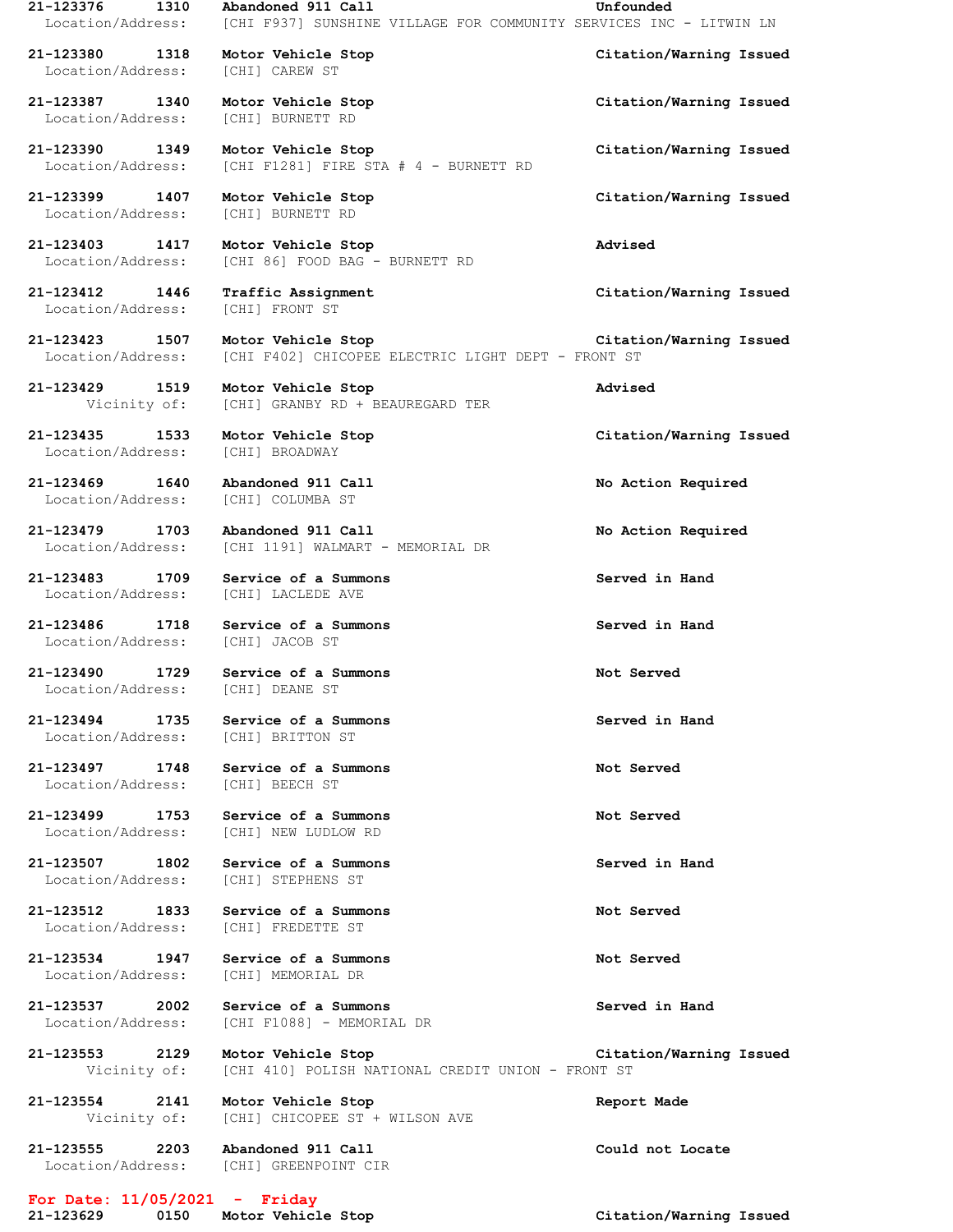**21-123376 1310 Abandoned 911 Call Unfounded** Location/Address: [CHI F937] SUNSHINE VILLAGE FOR COMMUNITY SERVICES INC - LITWIN LN **21-123380 1318 Motor Vehicle Stop Citation/Warning Issued** Location/Address: [CHI] CAREW ST **21-123387 1340 Motor Vehicle Stop Citation/Warning Issued** Location/Address: [CHI] BURNETT RD **21-123390 1349 Motor Vehicle Stop Citation/Warning Issued** Location/Address: [CHI F1281] FIRE STA # 4 - BURNETT RD **21-123399 1407 Motor Vehicle Stop Citation/Warning Issued** Location/Address: [CHI] BURNETT RD **21-123403 1417 Motor Vehicle Stop Advised** Location/Address: [CHI 86] FOOD BAG - BURNETT RD **21-123412 1446 Traffic Assignment Citation/Warning Issued** Location/Address: [CHI] FRONT ST **21-123423 1507 Motor Vehicle Stop Citation/Warning Issued** Location/Address: [CHI F402] CHICOPEE ELECTRIC LIGHT DEPT - FRONT ST **21-123429 1519 Motor Vehicle Stop Advised** Vicinity of: [CHI] GRANBY RD + BEAUREGARD TER **21-123435 1533 Motor Vehicle Stop Citation/Warning Issued** Location/Address: [CHI] BROADWAY **21-123469 1640 Abandoned 911 Call No Action Required** Location/Address: [CHI] COLUMBA ST **21-123479 1703 Abandoned 911 Call No Action Required** Location/Address: [CHI 1191] WALMART - MEMORIAL DR **21-123483 1709 Service of a Summons Served in Hand** Location/Address: [CHI] LACLEDE AVE **21-123486 1718 Service of a Summons Served in Hand** Location/Address: [CHI] JACOB ST **21-123490 1729 Service of a Summons Not Served** Location/Address: [CHI] DEANE ST **21-123494 1735 Service of a Summons Served in Hand** Location/Address: [CHI] BRITTON ST **21-123497 1748 Service of a Summons Not Served** Location/Address: [CHI] BEECH ST **21-123499 1753 Service of a Summons Not Served** Location/Address: [CHI] NEW LUDLOW RD **21-123507 1802 Service of a Summons Served in Hand** Location/Address: [CHI] STEPHENS ST **21-123512 1833 Service of a Summons Not Served** Location/Address: [CHI] FREDETTE ST **21-123534 1947 Service of a Summons Not Served** Location/Address: [CHI] MEMORIAL DR **21-123537 2002 Service of a Summons Served in Hand** Location/Address: [CHI F1088] - MEMORIAL DR **21-123553 2129 Motor Vehicle Stop Citation/Warning Issued** Vicinity of: [CHI 410] POLISH NATIONAL CREDIT UNION - FRONT ST **21-123554 2141 Motor Vehicle Stop Report Made** Vicinity of: [CHI] CHICOPEE ST + WILSON AVE **21-123555 2203 Abandoned 911 Call Could not Locate** Location/Address: [CHI] GREENPOINT CIR

**For Date: 11/05/2021 - Friday**

**21-123629 0150 Motor Vehicle Stop Citation/Warning Issued**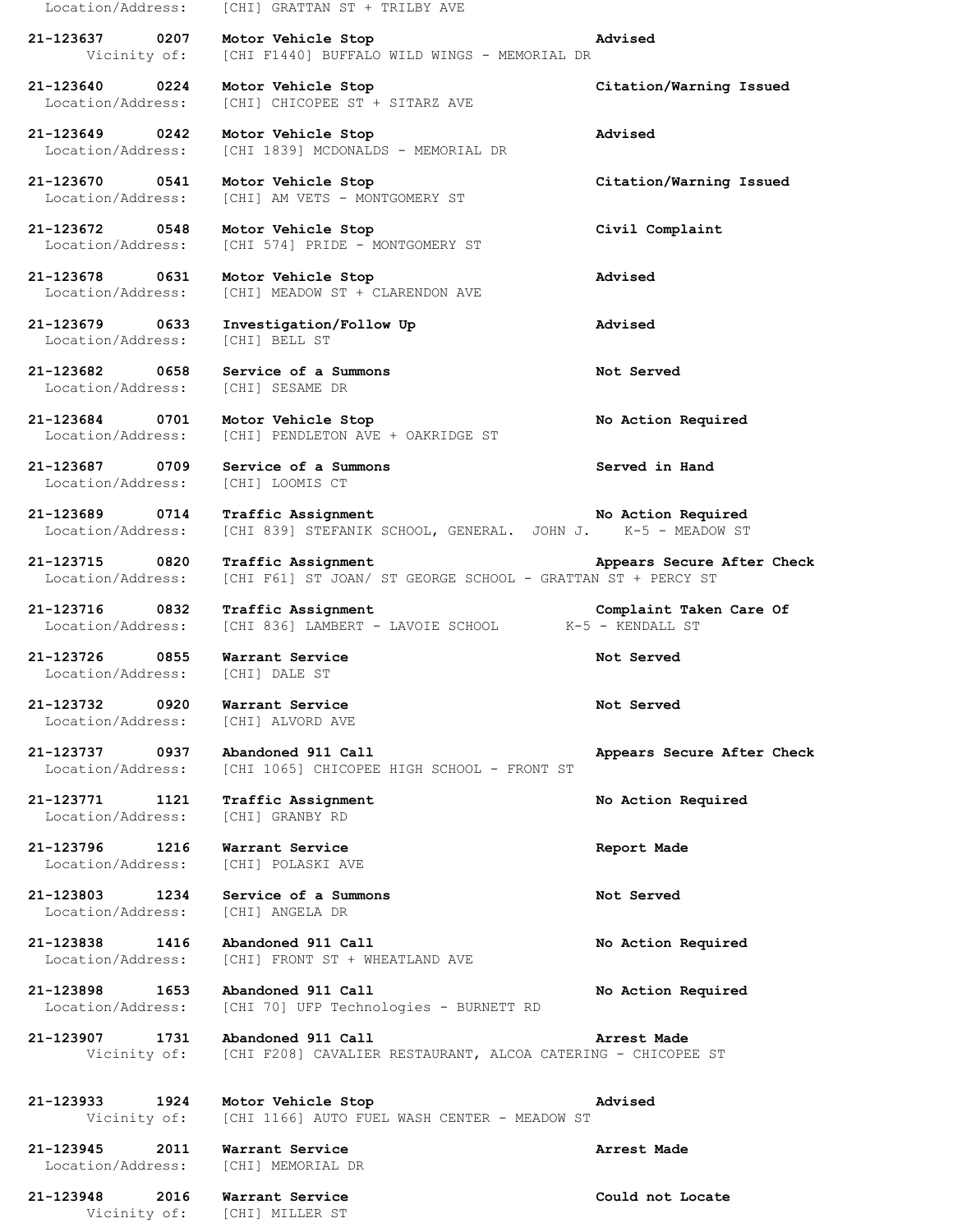Location/Address: [CHI] GRATTAN ST + TRILBY AVE

**21-123637 0207 Motor Vehicle Stop Advised** Vicinity of: [CHI F1440] BUFFALO WILD WINGS - MEMORIAL DR

**21-123640 0224 Motor Vehicle Stop Citation/Warning Issued** Location/Address: [CHI] CHICOPEE ST + SITARZ AVE

**21-123649 0242 Motor Vehicle Stop Advised** Location/Address: [CHI 1839] MCDONALDS - MEMORIAL DR

**21-123670 0541 Motor Vehicle Stop Citation/Warning Issued** Location/Address: [CHI] AM VETS - MONTGOMERY ST

**21-123672 0548 Motor Vehicle Stop Civil Complaint** Location/Address: [CHI 574] PRIDE - MONTGOMERY ST

**21-123678 0631 Motor Vehicle Stop Advised** Location/Address: [CHI] MEADOW ST + CLARENDON AVE

**21-123679 0633 Investigation/Follow Up Advised** Location/Address: [CHI] BELL ST

**21-123682 0658 Service of a Summons Not Served** Location/Address: [CHI] SESAME DR

**21-123684 0701 Motor Vehicle Stop No Action Required** Location/Address: [CHI] PENDLETON AVE + OAKRIDGE ST

**21-123687 0709 Service of a Summons Served in Hand** Location/Address: [CHI] LOOMIS CT

Location/Address: [CHI 836] LAMBERT - LAVOIE SCHOOL K-5 - KENDALL ST

**21-123726 0855 Warrant Service Not Served** Location/Address: [CHI] DALE ST

**21-123732 0920 Warrant Service Not Served** Location/Address: [CHI] ALVORD AVE

**21-123771 1121 Traffic Assignment No Action Required**

**21-123796 1216 Warrant Service Report Made**

**21-123737 0937 Abandoned 911 Call Appears Secure After Check** Location/Address: [CHI 1065] CHICOPEE HIGH SCHOOL - FRONT ST

Location/Address: [CHI] GRANBY RD

Location/Address: [CHI] POLASKI AVE

**21-123803 1234 Service of a Summons Not Served** Location/Address: [CHI] ANGELA DR

**21-123838 1416 Abandoned 911 Call No Action Required** Location/Address: [CHI] FRONT ST + WHEATLAND AVE

**21-123898 1653 Abandoned 911 Call No Action Required** Location/Address: [CHI 70] UFP Technologies - BURNETT RD

**21-123907 1731 Abandoned 911 Call Arrest Made** Vicinity of: [CHI F208] CAVALIER RESTAURANT, ALCOA CATERING - CHICOPEE ST

**21-123933 1924 Motor Vehicle Stop Advised** Vicinity of: [CHI 1166] AUTO FUEL WASH CENTER - MEADOW ST

**21-123945 2011 Warrant Service Arrest Made** Location/Address: [CHI] MEMORIAL DR

**21-123948 2016 Warrant Service Could not Locate** Vicinity of: [CHI] MILLER ST

**21-123689 0714 Traffic Assignment No Action Required**

Location/Address: [CHI 839] STEFANIK SCHOOL, GENERAL. JOHN J. K-5 - MEADOW ST

**21-123715 0820 Traffic Assignment Appears Secure After Check**

Location/Address: [CHI F61] ST JOAN/ ST GEORGE SCHOOL - GRATTAN ST + PERCY ST

**21-123716 0832 Traffic Assignment Complaint Taken Care Of**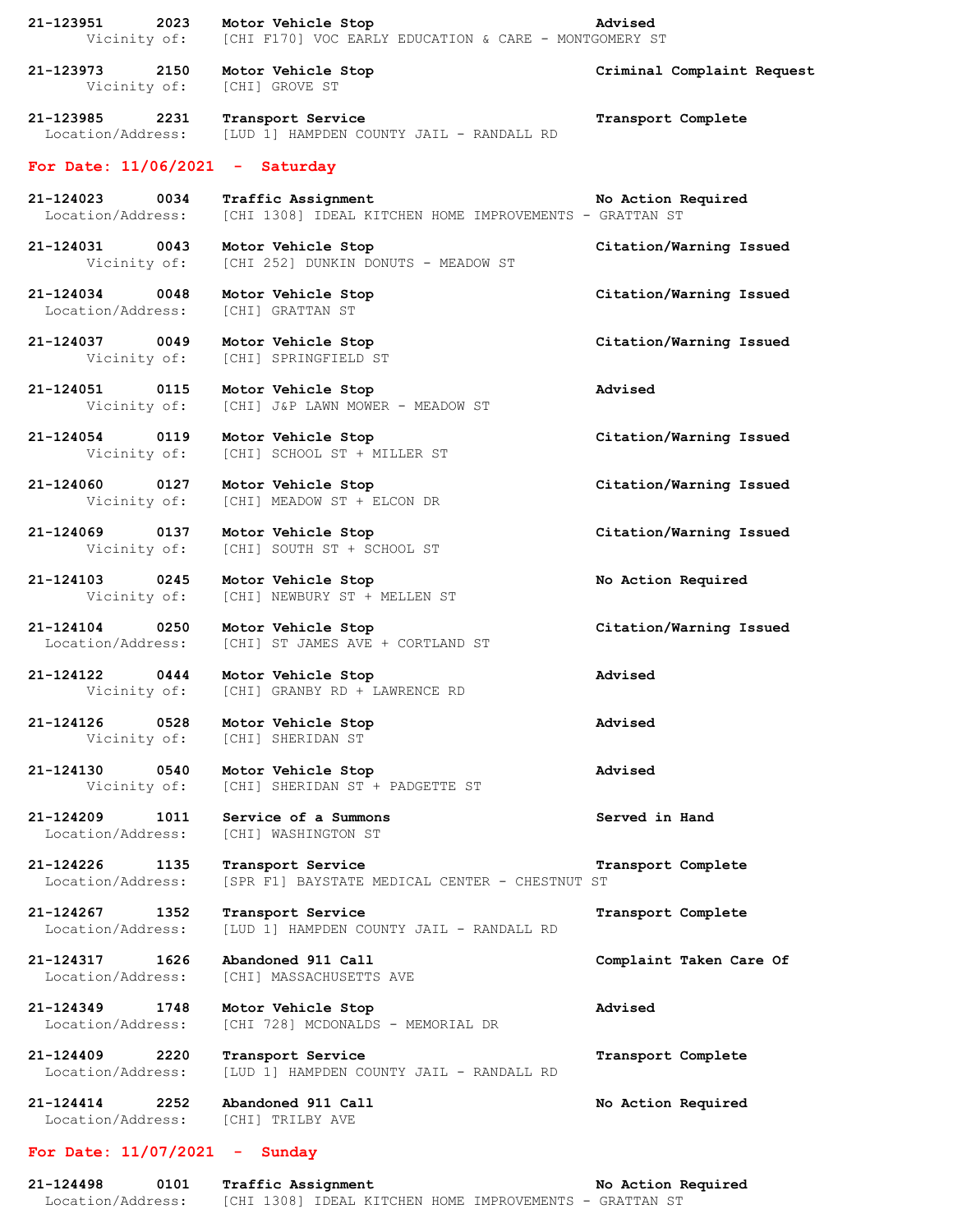| 21-123951 2023<br>Vicinity of:         | Motor Vehicle Stop<br>[CHI F170] VOC EARLY EDUCATION & CARE - MONTGOMERY ST   | Advised                    |
|----------------------------------------|-------------------------------------------------------------------------------|----------------------------|
| 21-123973 2150<br>Vicinity of:         | Motor Vehicle Stop<br>[CHI] GROVE ST                                          | Criminal Complaint Request |
| 21-123985 2231<br>Location/Address:    | Transport Service<br>[LUD 1] HAMPDEN COUNTY JAIL - RANDALL RD                 | Transport Complete         |
| For Date: $11/06/2021$ - Saturday      |                                                                               |                            |
| 21-124023 0034<br>Location/Address:    | Traffic Assignment<br>[CHI 1308] IDEAL KITCHEN HOME IMPROVEMENTS - GRATTAN ST | No Action Required         |
| 21-124031 0043<br>Vicinity of:         | Motor Vehicle Stop<br>[CHI 252] DUNKIN DONUTS - MEADOW ST                     | Citation/Warning Issued    |
| 21-124034 0048<br>Location/Address:    | Motor Vehicle Stop<br>[CHI] GRATTAN ST                                        | Citation/Warning Issued    |
| 21-124037 0049<br>Vicinity of:         | Motor Vehicle Stop<br>[CHI] SPRINGFIELD ST                                    | Citation/Warning Issued    |
| 21-124051 0115<br>Vicinity of:         | Motor Vehicle Stop<br>[CHI] J&P LAWN MOWER - MEADOW ST                        | Advised                    |
| 21-124054 0119<br>Vicinity of:         | Motor Vehicle Stop<br>[CHI] SCHOOL ST + MILLER ST                             | Citation/Warning Issued    |
| 21-124060 0127<br>Vicinity of:         | Motor Vehicle Stop<br>[CHI] MEADOW ST + ELCON DR                              | Citation/Warning Issued    |
| 21-124069 0137<br>Vicinity of:         | Motor Vehicle Stop<br>[CHI] SOUTH ST + SCHOOL ST                              | Citation/Warning Issued    |
| 21-124103 0245<br>Vicinity of:         | Motor Vehicle Stop<br>[CHI] NEWBURY ST + MELLEN ST                            | No Action Required         |
| 21-124104 0250<br>Location/Address:    | Motor Vehicle Stop<br>[CHI] ST JAMES AVE + CORTLAND ST                        | Citation/Warning Issued    |
| 21-124122 0444                         | Motor Vehicle Stop<br>Vicinity of: [CHI] GRANBY RD + LAWRENCE RD              | Advised                    |
| 0528<br>21-124126<br>Vicinity of:      | Motor Vehicle Stop<br>[CHI] SHERIDAN ST                                       | Advised                    |
| 0540<br>21-124130<br>Vicinity of:      | Motor Vehicle Stop<br>[CHI] SHERIDAN ST + PADGETTE ST                         | Advised                    |
| 21-124209<br>1011<br>Location/Address: | Service of a Summons<br>[CHI] WASHINGTON ST                                   | Served in Hand             |
| 21-124226<br>1135<br>Location/Address: | Transport Service<br>[SPR F1] BAYSTATE MEDICAL CENTER - CHESTNUT ST           | Transport Complete         |
| 21-124267<br>1352<br>Location/Address: | Transport Service<br>[LUD 1] HAMPDEN COUNTY JAIL - RANDALL RD                 | Transport Complete         |
| 21-124317<br>1626<br>Location/Address: | Abandoned 911 Call<br>[CHI] MASSACHUSETTS AVE                                 | Complaint Taken Care Of    |
| 21-124349<br>1748<br>Location/Address: | Motor Vehicle Stop<br>[CHI 728] MCDONALDS - MEMORIAL DR                       | Advised                    |
| 21-124409<br>2220<br>Location/Address: | Transport Service<br>[LUD 1] HAMPDEN COUNTY JAIL - RANDALL RD                 | Transport Complete         |
| 21-124414<br>2252<br>Location/Address: | Abandoned 911 Call<br>[CHI] TRILBY AVE                                        | No Action Required         |
| For Date: $11/07/2021$ - Sunday        |                                                                               |                            |

**21-124498 0101 Traffic Assignment No Action Required** Location/Address: [CHI 1308] IDEAL KITCHEN HOME IMPROVEMENTS - GRATTAN ST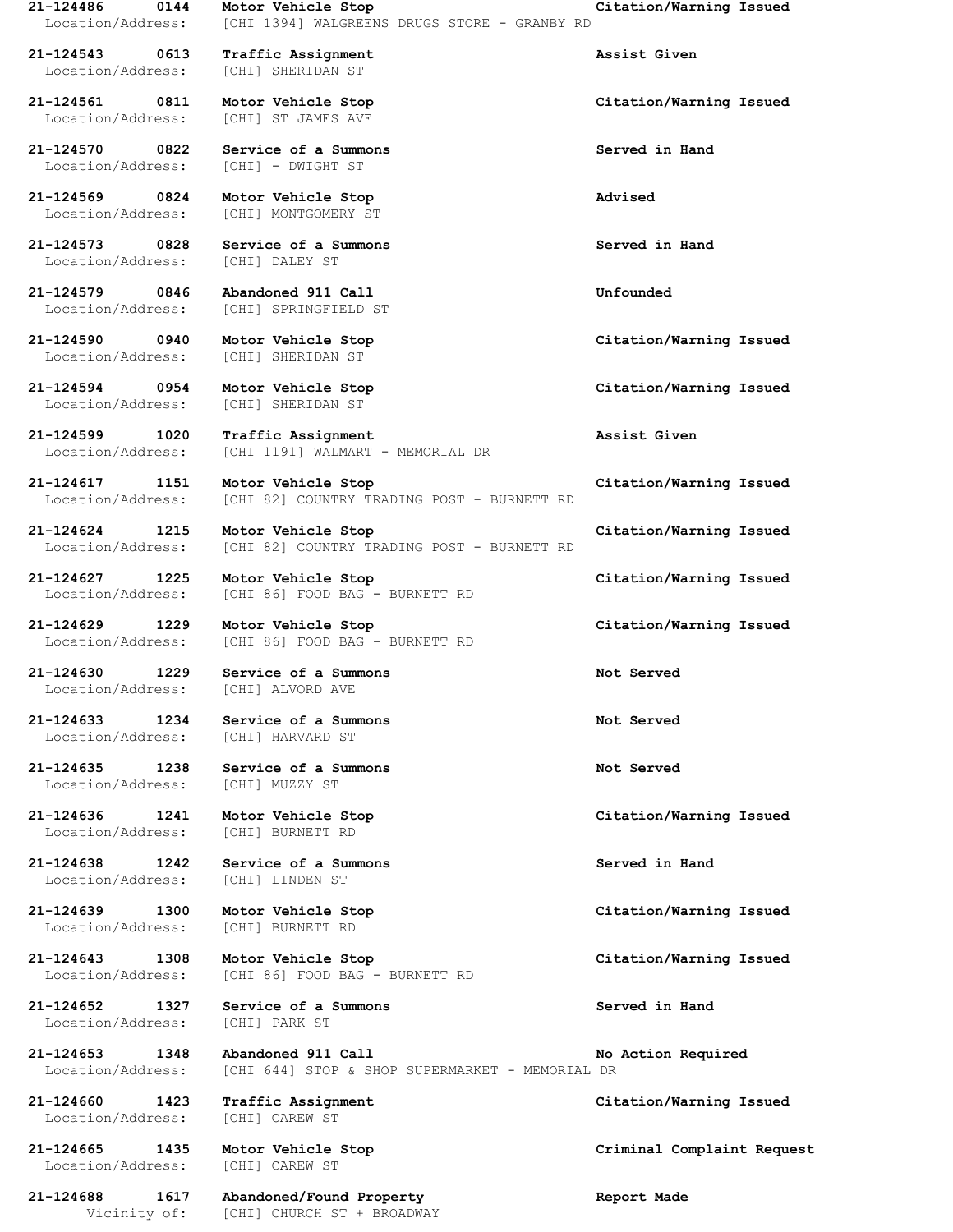**21-124543 0613 Traffic Assignment Assist Given** Location/Address: [CHI] SHERIDAN ST

Location/Address: [CHI] - DWIGHT ST

**21-124569 0824 Motor Vehicle Stop Advised** Location/Address: [CHI] MONTGOMERY ST

**21-124573 0828 Service of a Summons Served in Hand** Location/Address: [CHI] DALEY ST

**21-124579 0846 Abandoned 911 Call Unfounded**

**21-124594 0954 Motor Vehicle Stop Citation/Warning Issued**

Location/Address: [CHI] ALVORD AVE

Location/Address: [CHI] HARVARD ST

Location/Address: [CHI] BURNETT RD

Location/Address: [CHI] LINDEN ST

**21-124652 1327 Service of a Summons Served in Hand** Location/Address: [CHI] PARK ST

Location/Address: [CHI] CAREW ST

Location/Address: [CHI] CAREW ST

**21-124688 1617 Abandoned/Found Property Report Made**

**21-124486 0144 Motor Vehicle Stop Citation/Warning Issued** Location/Address: [CHI 1394] WALGREENS DRUGS STORE - GRANBY RD

Location/Address: [CHI] ST JAMES AVE

**21-124570 0822 Service of a Summons Served in Hand**

Location/Address: [CHI] SPRINGFIELD ST

Location/Address: [CHI] SHERIDAN ST

Location/Address: [CHI] SHERIDAN ST

**21-124599 1020 Traffic Assignment Assist Given** Location/Address: [CHI 1191] WALMART - MEMORIAL DR

**21-124617 1151 Motor Vehicle Stop Citation/Warning Issued** Location/Address: [CHI 82] COUNTRY TRADING POST - BURNETT RD

**21-124624 1215 Motor Vehicle Stop Citation/Warning Issued** Location/Address: [CHI 82] COUNTRY TRADING POST - BURNETT RD

**21-124627 1225 Motor Vehicle Stop Citation/Warning Issued** Location/Address: [CHI 86] FOOD BAG - BURNETT RD

**21-124629 1229 Motor Vehicle Stop Citation/Warning Issued** Location/Address: [CHI 86] FOOD BAG - BURNETT RD

**21-124630 1229 Service of a Summons Not Served**

**21-124633 1234 Service of a Summons Not Served**

**21-124635 1238 Service of a Summons Not Served** Location/Address: [CHI] MUZZY ST

**21-124638 1242 Service of a Summons Served in Hand**

Location/Address: [CHI] BURNETT RD

**21-124643 1308 Motor Vehicle Stop Citation/Warning Issued** Location/Address: [CHI 86] FOOD BAG - BURNETT RD

**21-124653 1348 Abandoned 911 Call No Action Required** Location/Address: [CHI 644] STOP & SHOP SUPERMARKET - MEMORIAL DR

Vicinity of: [CHI] CHURCH ST + BROADWAY

**21-124561 0811 Motor Vehicle Stop Citation/Warning Issued**

**21-124590 0940 Motor Vehicle Stop Citation/Warning Issued**

**21-124636 1241 Motor Vehicle Stop Citation/Warning Issued**

**21-124639 1300 Motor Vehicle Stop Citation/Warning Issued**

**21-124660 1423 Traffic Assignment Citation/Warning Issued**

**21-124665 1435 Motor Vehicle Stop Criminal Complaint Request**